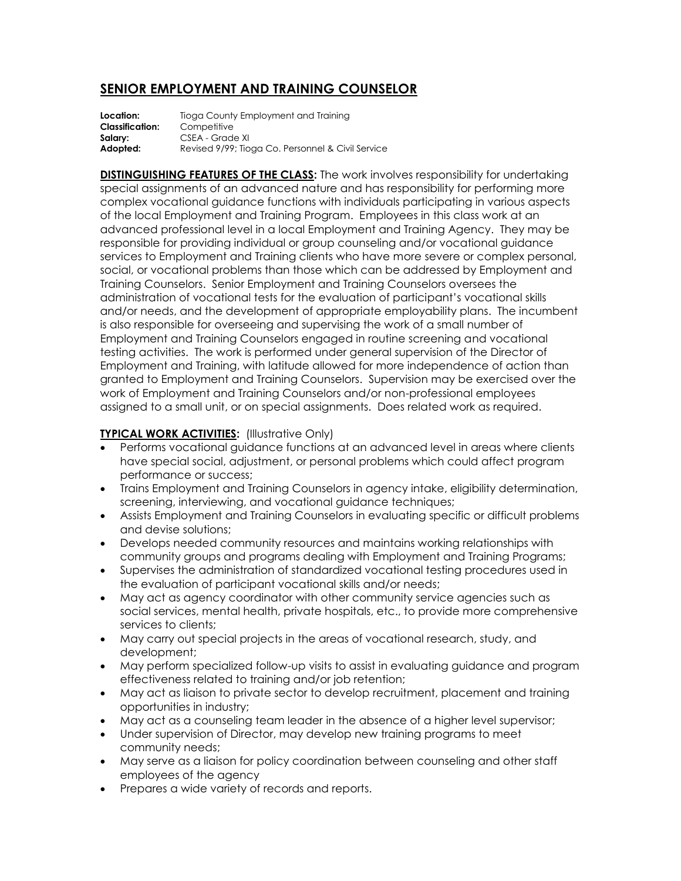## **SENIOR EMPLOYMENT AND TRAINING COUNSELOR**

**Location:** Tioga County Employment and Training **Classification:** Competitive **Salary:** CSEA - Grade XI Adopted: Revised 9/99; Tioga Co. Personnel & Civil Service

**DISTINGUISHING FEATURES OF THE CLASS:** The work involves responsibility for undertaking special assignments of an advanced nature and has responsibility for performing more complex vocational guidance functions with individuals participating in various aspects of the local Employment and Training Program. Employees in this class work at an advanced professional level in a local Employment and Training Agency. They may be responsible for providing individual or group counseling and/or vocational guidance services to Employment and Training clients who have more severe or complex personal, social, or vocational problems than those which can be addressed by Employment and Training Counselors. Senior Employment and Training Counselors oversees the administration of vocational tests for the evaluation of participant's vocational skills and/or needs, and the development of appropriate employability plans. The incumbent is also responsible for overseeing and supervising the work of a small number of Employment and Training Counselors engaged in routine screening and vocational testing activities. The work is performed under general supervision of the Director of Employment and Training, with latitude allowed for more independence of action than granted to Employment and Training Counselors. Supervision may be exercised over the work of Employment and Training Counselors and/or non-professional employees assigned to a small unit, or on special assignments. Does related work as required.

## **TYPICAL WORK ACTIVITIES:** (Illustrative Only)

- Performs vocational guidance functions at an advanced level in areas where clients have special social, adjustment, or personal problems which could affect program performance or success;
- Trains Employment and Training Counselors in agency intake, eligibility determination, screening, interviewing, and vocational guidance techniques;
- Assists Employment and Training Counselors in evaluating specific or difficult problems and devise solutions;
- Develops needed community resources and maintains working relationships with community groups and programs dealing with Employment and Training Programs;
- Supervises the administration of standardized vocational testing procedures used in the evaluation of participant vocational skills and/or needs;
- May act as agency coordinator with other community service agencies such as social services, mental health, private hospitals, etc., to provide more comprehensive services to clients;
- May carry out special projects in the areas of vocational research, study, and development;
- May perform specialized follow-up visits to assist in evaluating guidance and program effectiveness related to training and/or job retention;
- May act as liaison to private sector to develop recruitment, placement and training opportunities in industry;
- May act as a counseling team leader in the absence of a higher level supervisor;
- Under supervision of Director, may develop new training programs to meet community needs;
- May serve as a liaison for policy coordination between counseling and other staff employees of the agency
- Prepares a wide variety of records and reports.